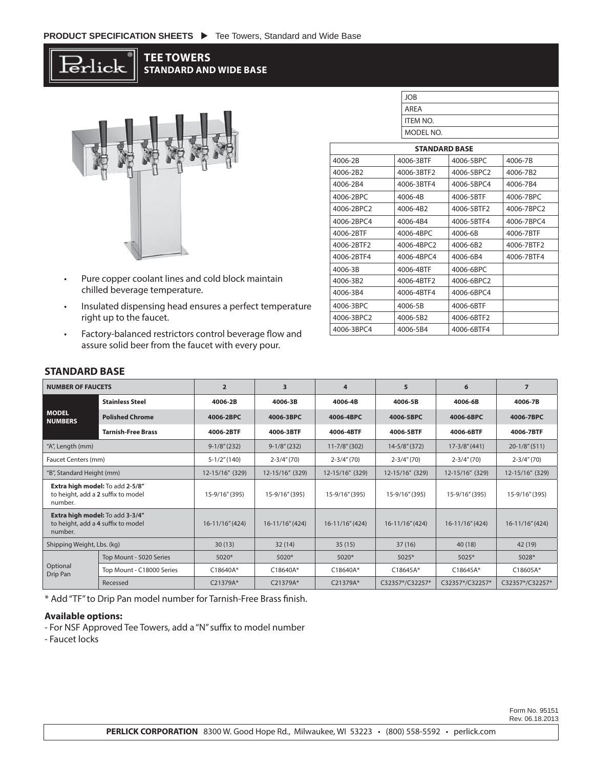

### **TEE TOWERS STANDARD AND WIDE BASE**



- Pure copper coolant lines and cold block maintain chilled beverage temperature.
- Insulated dispensing head ensures a perfect temperature right up to the faucet.
- Factory-balanced restrictors control beverage flow and assure solid beer from the faucet with every pour.

|                      | <b>JOB</b>      |            |            |  |  |  |
|----------------------|-----------------|------------|------------|--|--|--|
|                      | <b>ARFA</b>     |            |            |  |  |  |
|                      | <b>ITEM NO.</b> |            |            |  |  |  |
| MODEL NO.            |                 |            |            |  |  |  |
| <b>STANDARD BASE</b> |                 |            |            |  |  |  |
| 4006-2B              | 4006-3RTF       | 4006-5BPC  | 4006-7B    |  |  |  |
| 4006-2B2             | 4006-3BTF2      | 4006-5BPC2 | 4006-7B2   |  |  |  |
| 4006-2B4             | 4006-3BTF4      | 4006-5BPC4 | 4006-7B4   |  |  |  |
| 4006-2BPC            | 4006-4B         | 4006-5BTF  | 4006-7BPC  |  |  |  |
| 4006-2BPC2           | 4006-4B2        | 4006-5BTF2 | 4006-7BPC2 |  |  |  |
| 4006-2BPC4           | 4006-4B4        | 4006-5BTF4 | 4006-7BPC4 |  |  |  |
| 4006-2RTF            | 4006-4BPC       | 4006-6B    | 4006-7BTF  |  |  |  |
| 4006-2BTF2           | 4006-4BPC2      | 4006-6B2   | 4006-7BTF2 |  |  |  |
| 4006-2BTF4           | 4006-4BPC4      | 4006-6B4   | 4006-7BTF4 |  |  |  |
| 4006-3B              | 4006-4BTF       | 4006-6BPC  |            |  |  |  |
| 4006-3B2             | 4006-4BTF2      | 4006-6BPC2 |            |  |  |  |
| 4006-3B4             | 4006-4BTF4      | 4006-6BPC4 |            |  |  |  |
| 4006-3BPC            | 4006-5B         | 4006-6BTF  |            |  |  |  |

4006-3BPC2 4006-5B2 4006-6BTF2 4006-3BPC4 4006-5B4 4006-6BTF4

# **STANDARD BASE**

| <b>NUMBER OF FAUCETS</b>                                                         |                           | $\overline{2}$      | 3               | 4                  | 5                  | 6                  | $\overline{7}$    |
|----------------------------------------------------------------------------------|---------------------------|---------------------|-----------------|--------------------|--------------------|--------------------|-------------------|
| <b>MODEL</b><br><b>NUMBERS</b>                                                   | <b>Stainless Steel</b>    | 4006-2B             | 4006-3B         | 4006-4B            | 4006-5B            | 4006-6B            | 4006-7B           |
|                                                                                  | <b>Polished Chrome</b>    | 4006-2BPC           | 4006-3BPC       | 4006-4BPC          | 4006-5BPC          | 4006-6BPC          | 4006-7BPC         |
|                                                                                  | <b>Tarnish-Free Brass</b> | 4006-2BTF           | 4006-3BTF       | 4006-4BTF          | 4006-5BTF          | 4006-6BTF          | 4006-7BTF         |
| "A", Length (mm)                                                                 |                           | $9-1/8''(232)$      | $9-1/8''(232)$  | $11 - 7/8$ " (302) | $14 - 5/8$ " (372) | $17 - 3/8'' (441)$ | $20-1/8''(511)$   |
| Faucet Centers (mm)                                                              |                           | $5-1/2$ " (140)     | $2 - 3/4''(70)$ | $2 - 3/4''(70)$    | $2 - 3/4$ " (70)   | $2 - 3/4''(70)$    | $2 - 3/4''(70)$   |
| "B", Standard Height (mm)                                                        |                           | 12-15/16" (329)     | 12-15/16" (329) | 12-15/16" (329)    | 12-15/16" (329)    | 12-15/16" (329)    | 12-15/16" (329)   |
| Extra high model: To add 2-5/8"<br>to height, add a 2 suffix to model<br>number. |                           | 15-9/16" (395)      | 15-9/16" (395)  | 15-9/16" (395)     | 15-9/16" (395)     | 15-9/16" (395)     | 15-9/16" (395)    |
| Extra high model: To add 3-3/4"<br>to height, add a 4 suffix to model<br>number. |                           | $16 - 11/16''(424)$ | 16-11/16" (424) | 16-11/16" (424)    | 16-11/16" (424)    | 16-11/16" (424)    | $16-11/16''(424)$ |
| Shipping Weight, Lbs. (kg)                                                       |                           | 30(13)              | 32(14)          | 35(15)             | 37(16)             | 40 (18)            | 42 (19)           |
| Optional<br>Drip Pan                                                             | Top Mount - 5020 Series   | $5020*$             | $5020*$         | $5020*$            | $5025*$            | $5025*$            | 5028*             |
|                                                                                  | Top Mount - C18000 Series | C18640A*            | C18640A*        | C18640A*           | C18645A*           | $C18645A*$         | $C18605A*$        |
|                                                                                  | Recessed                  | C21379A*            | C21379A*        | C21379A*           | C32357*/C32257*    | C32357*/C32257*    | C32357*/C32257*   |

\* Add "TF" to Drip Pan model number for Tarnish-Free Brass finish.

#### **Available options:**

- For NSF Approved Tee Towers, add a "N" suffix to model number

- Faucet locks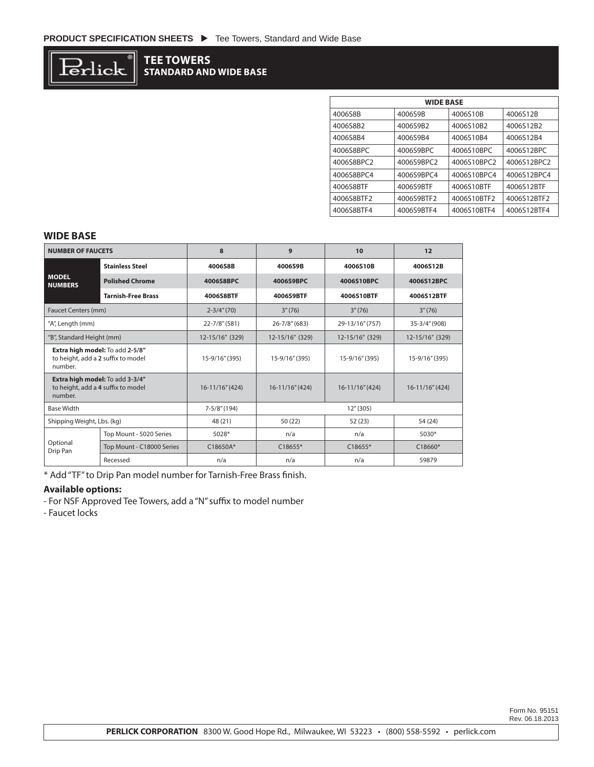

## **TEE TOWERS STANDARD AND WIDE BASE**

| <b>WIDE BASE</b> |            |             |             |  |  |
|------------------|------------|-------------|-------------|--|--|
| 4006S8B          | 4006S9B    | 4006S10B    | 4006S12B    |  |  |
| 4006S8B2         | 4006S9B2   | 4006S10B2   | 4006S12B2   |  |  |
| 4006S8B4         | 4006S9B4   | 4006S10B4   | 4006S12B4   |  |  |
| 4006S8BPC        | 4006S9BPC  | 4006S10BPC  | 4006S12BPC  |  |  |
| 4006S8BPC2       | 4006S9BPC2 | 4006S10BPC2 | 4006S12BPC2 |  |  |
| 4006S8BPC4       | 4006S9BPC4 | 4006S10BPC4 | 4006S12BPC4 |  |  |
| 4006S8BTF        | 4006S9BTF  | 4006S10BTF  | 4006S12BTF  |  |  |
| 4006S8BTF2       | 4006S9BTF2 | 4006S10BTF2 | 4006S12BTF2 |  |  |
| 4006S8BTF4       | 4006S9BTF4 | 4006S10BTF4 | 4006S12BTF4 |  |  |

### **WIDE BASE**

| <b>NUMBER OF FAUCETS</b>                                                         |                           | $\mathbf{8}$    | 9                                  | 10              | 12                   |
|----------------------------------------------------------------------------------|---------------------------|-----------------|------------------------------------|-----------------|----------------------|
| <b>MODEL</b><br><b>NUMBERS</b>                                                   | <b>Stainless Steel</b>    | 4006S8B         | 4006S9B                            | 4006S10B        | 4006S12B             |
|                                                                                  | <b>Polished Chrome</b>    | 4006S8BPC       | 4006S9BPC                          | 4006S10BPC      | 4006S12BPC           |
|                                                                                  | <b>Tarnish-Free Brass</b> | 4006S8BTF       | 4006S9BTF                          | 4006S10BTF      | 4006S12BTF           |
| <b>Faucet Centers (mm)</b>                                                       |                           | $2 - 3/4''(70)$ | 3''(76)                            | 3''(76)         | 3''(76)              |
| "A", Length (mm)                                                                 |                           | 22-7/8" (581)   | $26 - 7/8''(683)$                  | 29-13/16" (757) | 35-3/4" (908)        |
| "B", Standard Height (mm)                                                        |                           | 12-15/16" (329) | 12-15/16" (329)                    | 12-15/16" (329) | 12-15/16" (329)      |
| Extra high model: To add 2-5/8"<br>to height, add a 2 suffix to model<br>number. |                           | 15-9/16" (395)  | 15-9/16" (395)                     | 15-9/16" (395)  | 15-9/16" (395)       |
| Extra high model: To add 3-3/4"<br>to height, add a 4 suffix to model<br>number. |                           | 16-11/16" (424) | 16-11/16" (424)<br>16-11/16" (424) |                 | $16 - 11/16'' (424)$ |
| <b>Base Width</b>                                                                |                           | $7-5/8''(194)$  | 12''(305)                          |                 |                      |
| Shipping Weight, Lbs. (kg)                                                       |                           | 48 (21)         | 50 (22)                            | 52 (23)         | 54 (24)              |
| Optional<br>Drip Pan                                                             | Top Mount - 5020 Series   | 5028*           | n/a                                | n/a             | 5030*                |
|                                                                                  | Top Mount - C18000 Series | C18650A*        | $C18655*$                          | $C18655*$       | $C18660*$            |
|                                                                                  | Recessed                  | n/a             | n/a                                | n/a             | 59879                |

\* Add "TF" to Drip Pan model number for Tarnish-Free Brass finish.

### **Available options:**

- For NSF Approved Tee Towers, add a "N" suffix to model number

- Faucet locks